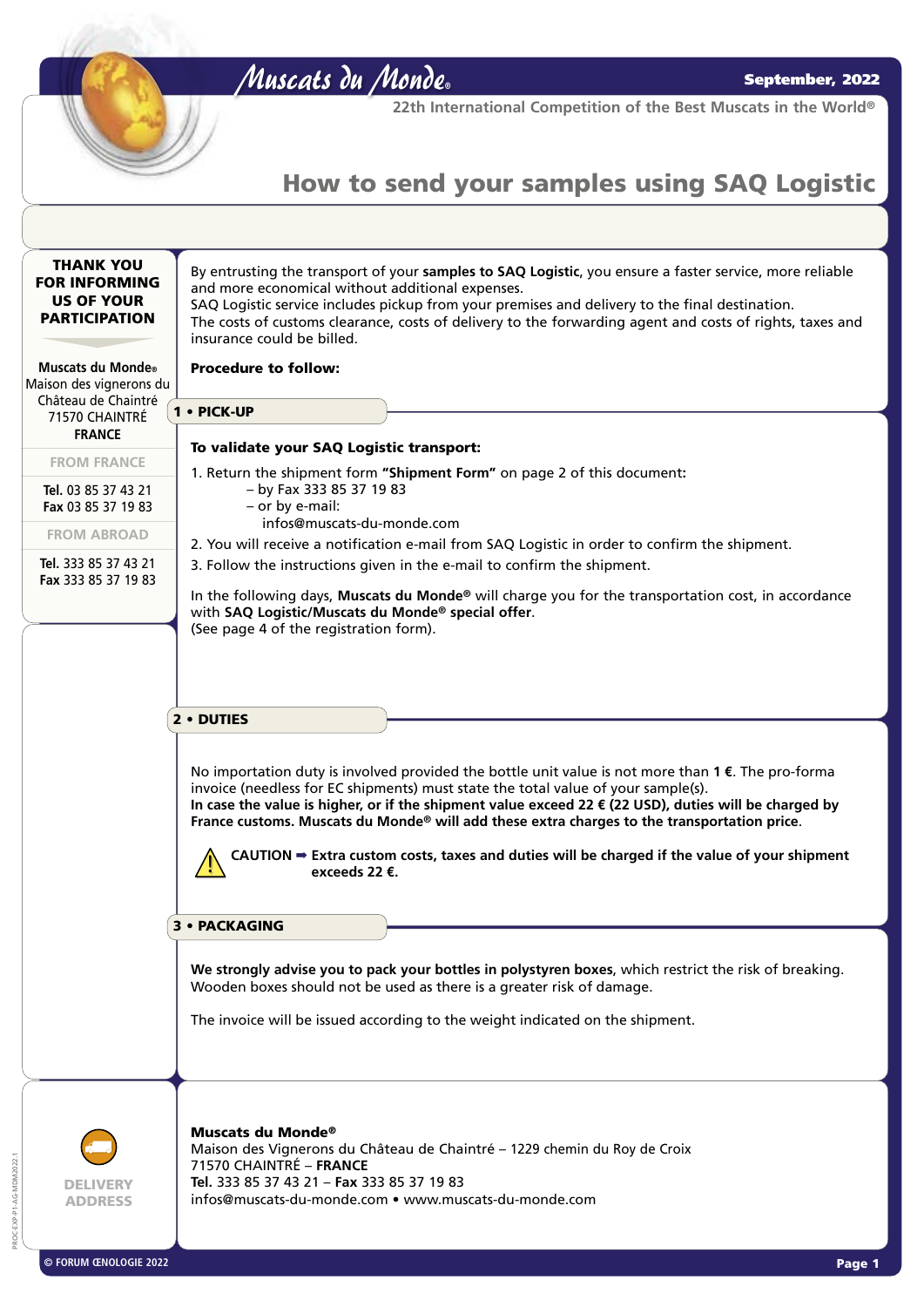Muscats du Monde**®**

**22th International Competition of the Best Muscats in the World®**

## How to send your samples using SAQ Logistic